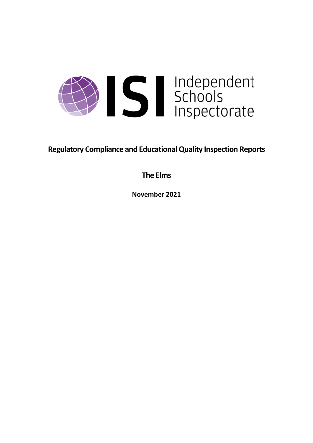

**Regulatory Compliance and EducationalQuality Inspection Reports**

**The Elms**

**November 2021**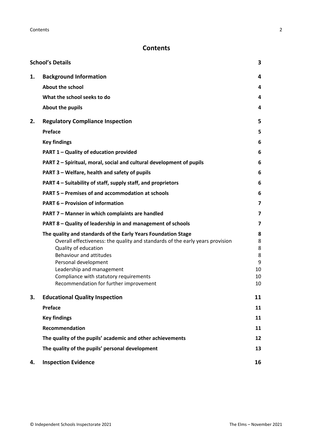# **Contents**

|    | <b>School's Details</b>                                                                                                                                                                                                                                                                                                                    | 3                                       |
|----|--------------------------------------------------------------------------------------------------------------------------------------------------------------------------------------------------------------------------------------------------------------------------------------------------------------------------------------------|-----------------------------------------|
| 1. | <b>Background Information</b>                                                                                                                                                                                                                                                                                                              | 4                                       |
|    | <b>About the school</b>                                                                                                                                                                                                                                                                                                                    | 4                                       |
|    | What the school seeks to do                                                                                                                                                                                                                                                                                                                | 4                                       |
|    | About the pupils                                                                                                                                                                                                                                                                                                                           | 4                                       |
| 2. | <b>Regulatory Compliance Inspection</b>                                                                                                                                                                                                                                                                                                    | 5                                       |
|    | <b>Preface</b>                                                                                                                                                                                                                                                                                                                             | 5                                       |
|    | <b>Key findings</b>                                                                                                                                                                                                                                                                                                                        | 6                                       |
|    | PART 1 - Quality of education provided                                                                                                                                                                                                                                                                                                     | 6                                       |
|    | PART 2 - Spiritual, moral, social and cultural development of pupils                                                                                                                                                                                                                                                                       | 6                                       |
|    | PART 3 - Welfare, health and safety of pupils                                                                                                                                                                                                                                                                                              | 6                                       |
|    | PART 4 - Suitability of staff, supply staff, and proprietors                                                                                                                                                                                                                                                                               | 6                                       |
|    | <b>PART 5 - Premises of and accommodation at schools</b>                                                                                                                                                                                                                                                                                   | 6                                       |
|    | <b>PART 6 - Provision of information</b>                                                                                                                                                                                                                                                                                                   | 7                                       |
|    | PART 7 - Manner in which complaints are handled                                                                                                                                                                                                                                                                                            | 7                                       |
|    | PART 8 - Quality of leadership in and management of schools                                                                                                                                                                                                                                                                                | 7                                       |
|    | The quality and standards of the Early Years Foundation Stage<br>Overall effectiveness: the quality and standards of the early years provision<br>Quality of education<br>Behaviour and attitudes<br>Personal development<br>Leadership and management<br>Compliance with statutory requirements<br>Recommendation for further improvement | 8<br>8<br>8<br>8<br>9<br>10<br>10<br>10 |
| з. | <b>Educational Quality Inspection</b>                                                                                                                                                                                                                                                                                                      | 11                                      |
|    | <b>Preface</b>                                                                                                                                                                                                                                                                                                                             | 11                                      |
|    | <b>Key findings</b>                                                                                                                                                                                                                                                                                                                        | 11                                      |
|    | Recommendation                                                                                                                                                                                                                                                                                                                             | 11                                      |
|    | The quality of the pupils' academic and other achievements                                                                                                                                                                                                                                                                                 | 12                                      |
|    | The quality of the pupils' personal development                                                                                                                                                                                                                                                                                            | 13                                      |
| 4. | <b>Inspection Evidence</b>                                                                                                                                                                                                                                                                                                                 | 16                                      |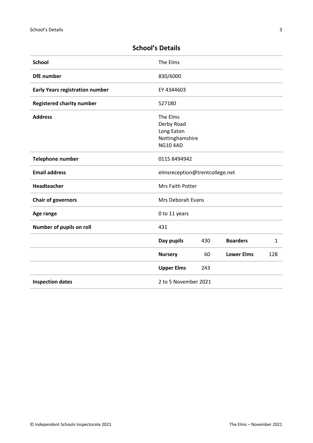| <b>School</b>                          | The Elms                                                                   |     |                   |              |
|----------------------------------------|----------------------------------------------------------------------------|-----|-------------------|--------------|
| <b>DfE</b> number                      | 830/6000                                                                   |     |                   |              |
| <b>Early Years registration number</b> | EY 4344603                                                                 |     |                   |              |
| <b>Registered charity number</b>       | 527180                                                                     |     |                   |              |
| <b>Address</b>                         | The Elms<br>Derby Road<br>Long Eaton<br>Nottinghamshire<br><b>NG10 4AD</b> |     |                   |              |
| Telephone number                       | 0115 8494942                                                               |     |                   |              |
| <b>Email address</b>                   | elmsreception@trentcollege.net                                             |     |                   |              |
| Headteacher                            | Mrs Faith Potter                                                           |     |                   |              |
| <b>Chair of governors</b>              | Mrs Deborah Evans                                                          |     |                   |              |
| Age range                              | 0 to 11 years                                                              |     |                   |              |
| Number of pupils on roll               | 431                                                                        |     |                   |              |
|                                        | Day pupils                                                                 | 430 | <b>Boarders</b>   | $\mathbf{1}$ |
|                                        | <b>Nursery</b>                                                             | 60  | <b>Lower Elms</b> | 128          |
|                                        | <b>Upper Elms</b>                                                          | 243 |                   |              |

**Inspection dates** 2 to 5 November 2021

# <span id="page-2-0"></span>**School's Details**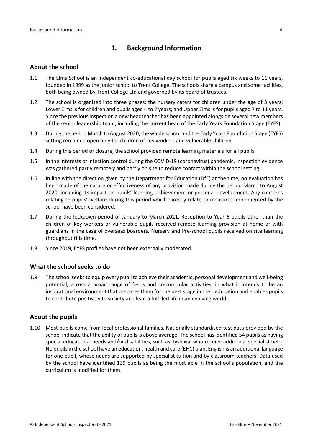# <span id="page-3-0"></span>**1. Background Information**

#### <span id="page-3-1"></span>**About the school**

- 1.1 The Elms School is an independent co-educational day school for pupils aged six weeks to 11 years, founded in 1999 as the junior school to Trent College. The schools share a campus and some facilities, both being owned by Trent College Ltd and governed by its board of trustees.
- 1.2 The school is organised into three phases: the nursery caters for children under the age of 3 years; Lower Elms is for children and pupils aged 4 to 7 years; and Upper Elms is for pupils aged 7 to 11 years. Since the previous inspection a new headteacher has been appointed alongside several new members of the senior leadership team, including the current head of the Early Years Foundation Stage (EYFS).
- 1.3 During the period March to August 2020, the whole school and the Early Years Foundation Stage (EYFS) setting remained open only for children of key workers and vulnerable children.
- 1.4 During this period of closure, the school provided remote learning materials for all pupils.
- 1.5 In the interests of infection control during the COVID-19 (coronavirus) pandemic, inspection evidence was gathered partly remotely and partly on site to reduce contact within the school setting.
- 1.6 In line with the direction given by the Department for Education (DfE) at the time, no evaluation has been made of the nature or effectiveness of any provision made during the period March to August 2020, including its impact on pupils' learning, achievement or personal development. Any concerns relating to pupils' welfare during this period which directly relate to measures implemented by the school have been considered.
- 1.7 During the lockdown period of January to March 2021, Reception to Year 6 pupils other than the children of key workers or vulnerable pupils received remote learning provision at home or with guardians in the case of overseas boarders. Nursery and Pre-school pupils received on site learning throughout this time.
- 1.8 Since 2019, EYFS profiles have not been externally moderated.

#### <span id="page-3-2"></span>**What the school seeks to do**

1.9 The schoolseeksto equip every pupil to achieve their academic, personal development and well-being potential, across a broad range of fields and co-curricular activities, in what it intends to be an inspirational environment that prepares them for the next stage in their education and enables pupils to contribute positively to society and lead a fulfilled life in an evolving world.

#### <span id="page-3-3"></span>**About the pupils**

1.10 Most pupils come from local professional families. Nationally standardised test data provided by the school indicate that the ability of pupils is above average. The school has identified 54 pupils as having special educational needs and/or disabilities, such as dyslexia, who receive additional specialist help. No pupilsin the school have an education, health and care (EHC) plan. English is an additional language for one pupil, whose needs are supported by specialist tuition and by classroom teachers. Data used by the school have identified 139 pupils as being the most able in the school's population, and the curriculum is modified for them.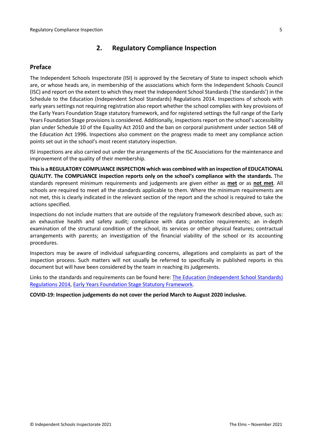# <span id="page-4-0"></span>**2. Regulatory Compliance Inspection**

### <span id="page-4-1"></span>**Preface**

The Independent Schools Inspectorate (ISI) is approved by the Secretary of State to inspect schools which are, or whose heads are, in membership of the associations which form the Independent Schools Council (ISC) and report on the extent to which they meet the Independent School Standards ('the standards') in the Schedule to the Education (Independent School Standards) Regulations 2014. Inspections of schools with early years settings not requiring registration also report whether the school complies with key provisions of the Early Years Foundation Stage statutory framework, and for registered settings the full range of the Early Years Foundation Stage provisions is considered. Additionally, inspections report on the school's accessibility plan under Schedule 10 of the Equality Act 2010 and the ban on corporal punishment under section 548 of the Education Act 1996. Inspections also comment on the progress made to meet any compliance action points set out in the school's most recent statutory inspection.

ISI inspections are also carried out under the arrangements of the ISC Associations for the maintenance and improvement of the quality of their membership.

**Thisis a REGULATORY COMPLIANCE INSPECTION which was combined with an inspection of EDUCATIONAL QUALITY. The COMPLIANCE inspection reports only on the school's compliance with the standards.** The standards represent minimum requirements and judgements are given either as **met** or as **not met**. All schools are required to meet all the standards applicable to them. Where the minimum requirements are not met, this is clearly indicated in the relevant section of the report and the school is required to take the actions specified.

Inspections do not include matters that are outside of the regulatory framework described above, such as: an exhaustive health and safety audit; compliance with data protection requirements; an in-depth examination of the structural condition of the school, its services or other physical features; contractual arrangements with parents; an investigation of the financial viability of the school or its accounting procedures.

Inspectors may be aware of individual safeguarding concerns, allegations and complaints as part of the inspection process. Such matters will not usually be referred to specifically in published reports in this document but will have been considered by the team in reaching its judgements.

Links to the standards and requirements can be found here: The Education [\(Independent](http://www.legislation.gov.uk/uksi/2014/3283/contents/made) School Standards) [Regulations](http://www.legislation.gov.uk/uksi/2014/3283/contents/made) 2014, Early Years Foundation Stage Statutory [Framework.](https://www.gov.uk/government/publications/early-years-foundation-stage-framework--2)

#### **COVID-19: Inspection judgements do not cover the period March to August 2020 inclusive.**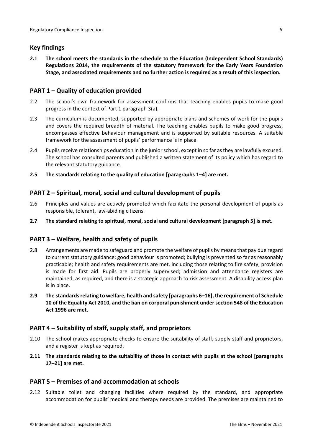### <span id="page-5-0"></span>**Key findings**

**2.1 The school meets the standards in the schedule to the Education (Independent School Standards) Regulations 2014, the requirements of the statutory framework for the Early Years Foundation Stage, and associated requirements and no further action is required as a result of this inspection.**

### <span id="page-5-1"></span>**PART 1 – Quality of education provided**

- 2.2 The school's own framework for assessment confirms that teaching enables pupils to make good progress in the context of Part 1 paragraph 3(a).
- 2.3 The curriculum is documented, supported by appropriate plans and schemes of work for the pupils and covers the required breadth of material. The teaching enables pupils to make good progress, encompasses effective behaviour management and is supported by suitable resources. A suitable framework for the assessment of pupils' performance is in place.
- 2.4 Pupils receive relationships education in the junior school, except in so far as they are lawfully excused. The school has consulted parents and published a written statement of its policy which has regard to the relevant statutory guidance.
- **2.5 The standards relating to the quality of education [paragraphs 1–4] are met.**

# <span id="page-5-2"></span>**PART 2 – Spiritual, moral, social and cultural development of pupils**

- 2.6 Principles and values are actively promoted which facilitate the personal development of pupils as responsible, tolerant, law-abiding citizens.
- **2.7 The standard relating to spiritual, moral, social and cultural development [paragraph 5] is met.**

### <span id="page-5-3"></span>**PART 3 – Welfare, health and safety of pupils**

- 2.8 Arrangements are made to safeguard and promote the welfare of pupils by means that pay due regard to current statutory guidance; good behaviour is promoted; bullying is prevented so far as reasonably practicable; health and safety requirements are met, including those relating to fire safety; provision is made for first aid. Pupils are properly supervised; admission and attendance registers are maintained, as required, and there is a strategic approach to risk assessment. A disability access plan is in place.
- **2.9 The standardsrelating to welfare, health and safety [paragraphs 6–16], the requirement of Schedule 10 of the Equality Act 2010, and the ban on corporal punishment undersection 548 of the Education Act 1996 are met.**

### <span id="page-5-4"></span>**PART 4 – Suitability of staff, supply staff, and proprietors**

- 2.10 The school makes appropriate checks to ensure the suitability of staff, supply staff and proprietors, and a register is kept as required.
- **2.11 The standards relating to the suitability of those in contact with pupils at the school [paragraphs 17–21] are met.**

### <span id="page-5-5"></span>**PART 5 – Premises of and accommodation at schools**

2.12 Suitable toilet and changing facilities where required by the standard, and appropriate accommodation for pupils' medical and therapy needs are provided. The premises are maintained to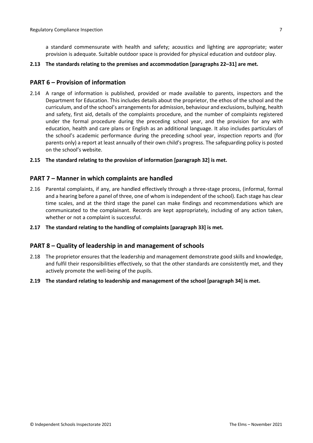a standard commensurate with health and safety; acoustics and lighting are appropriate; water provision is adequate. Suitable outdoor space is provided for physical education and outdoor play.

#### **2.13 The standards relating to the premises and accommodation [paragraphs 22–31] are met.**

### <span id="page-6-0"></span>**PART 6 – Provision of information**

- 2.14 A range of information is published, provided or made available to parents, inspectors and the Department for Education. This includes details about the proprietor, the ethos of the school and the curriculum, and of the school's arrangementsfor admission, behaviour and exclusions, bullying, health and safety, first aid, details of the complaints procedure, and the number of complaints registered under the formal procedure during the preceding school year, and the provision for any with education, health and care plans or English as an additional language. It also includes particulars of the school's academic performance during the preceding school year, inspection reports and (for parents only) a report at least annually of their own child's progress. The safeguarding policy is posted on the school's website.
- **2.15 The standard relating to the provision of information [paragraph 32] is met.**

#### <span id="page-6-1"></span>**PART 7 – Manner in which complaints are handled**

- 2.16 Parental complaints, if any, are handled effectively through a three-stage process, (informal, formal and a hearing before a panel of three, one of whom is independent of the school). Each stage has clear time scales, and at the third stage the panel can make findings and recommendations which are communicated to the complainant. Records are kept appropriately, including of any action taken, whether or not a complaint is successful.
- **2.17 The standard relating to the handling of complaints [paragraph 33] is met.**

#### <span id="page-6-2"></span>**PART 8 – Quality of leadership in and management of schools**

- 2.18 The proprietor ensures that the leadership and management demonstrate good skills and knowledge, and fulfil their responsibilities effectively, so that the other standards are consistently met, and they actively promote the well-being of the pupils.
- **2.19 The standard relating to leadership and management of the school [paragraph 34] is met.**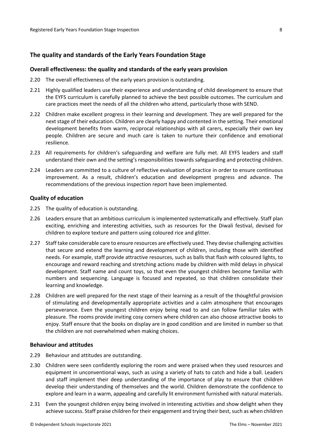#### <span id="page-7-0"></span>**The quality and standards of the Early Years Foundation Stage**

#### <span id="page-7-1"></span>**Overall effectiveness: the quality and standards of the early years provision**

- 2.20 The overall effectiveness of the early years provision is outstanding.
- 2.21 Highly qualified leaders use their experience and understanding of child development to ensure that the EYFS curriculum is carefully planned to achieve the best possible outcomes. The curriculum and care practices meet the needs of all the children who attend, particularly those with SEND.
- 2.22 Children make excellent progress in their learning and development. They are well prepared for the next stage of their education. Children are clearly happy and contented in the setting. Their emotional development benefits from warm, reciprocal relationships with all carers, especially their own key people. Children are secure and much care is taken to nurture their confidence and emotional resilience.
- 2.23 All requirements for children's safeguarding and welfare are fully met. All EYFS leaders and staff understand their own and the setting's responsibilities towards safeguarding and protecting children.
- 2.24 Leaders are committed to a culture of reflective evaluation of practice in order to ensure continuous improvement. As a result, children's education and development progress and advance. The recommendations of the previous inspection report have been implemented.

#### <span id="page-7-2"></span>**Quality of education**

- 2.25 The quality of education is outstanding.
- 2.26 Leaders ensure that an ambitious curriculum is implemented systematically and effectively. Staff plan exciting, enriching and interesting activities, such as resources for the Diwali festival, devised for children to explore texture and pattern using coloured rice and glitter.
- 2.27 Staff take considerable care to ensure resources are effectively used. They devise challenging activities that secure and extend the learning and development of children, including those with identified needs. For example, staff provide attractive resources, such as balls that flash with coloured lights, to encourage and reward reaching and stretching actions made by children with mild delays in physical development. Staff name and count toys, so that even the youngest children become familiar with numbers and sequencing. Language is focused and repeated, so that children consolidate their learning and knowledge.
- 2.28 Children are well prepared for the next stage of their learning as a result of the thoughtful provision of stimulating and developmentally appropriate activities and a calm atmosphere that encourages perseverance. Even the youngest children enjoy being read to and can follow familiar tales with pleasure. The rooms provide inviting cosy corners where children can also choose attractive books to enjoy. Staff ensure that the books on display are in good condition and are limited in number so that the children are not overwhelmed when making choices.

#### <span id="page-7-3"></span>**Behaviour and attitudes**

- 2.29 Behaviour and attitudes are outstanding.
- 2.30 Children were seen confidently exploring the room and were praised when they used resources and equipment in unconventional ways, such as using a variety of hats to catch and hide a ball. Leaders and staff implement their deep understanding of the importance of play to ensure that children develop their understanding of themselves and the world. Children demonstrate the confidence to explore and learn in a warm, appealing and carefully lit environment furnished with natural materials.
- 2.31 Even the youngest children enjoy being involved in interesting activities and show delight when they achieve success. Staff praise children for their engagement and trying their best, such as when children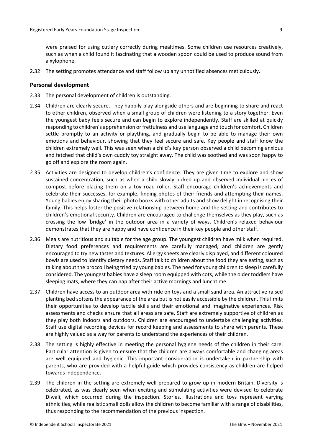were praised for using cutlery correctly during mealtimes. Some children use resources creatively, such as when a child found it fascinating that a wooden spoon could be used to produce sound from a xylophone.

2.32 The setting promotes attendance and staff follow up any unnotified absences meticulously.

#### <span id="page-8-0"></span>**Personal development**

- 2.33 The personal development of children is outstanding.
- 2.34 Children are clearly secure. They happily play alongside others and are beginning to share and react to other children, observed when a small group of children were listening to a story together. Even the youngest baby feels secure and can begin to explore independently. Staff are skilled at quickly responding to children's apprehension orfretfulness and use language and touch for comfort. Children settle promptly to an activity or plaything, and gradually begin to be able to manage their own emotions and behaviour, showing that they feel secure and safe. Key people and staff know the children extremely well. This was seen when a child's key person observed a child becoming anxious and fetched that child's own cuddly toy straight away. The child was soothed and was soon happy to go off and explore the room again.
- 2.35 Activities are designed to develop children's confidence. They are given time to explore and show sustained concentration, such as when a child slowly picked up and observed individual pieces of compost before placing them on a toy road roller. Staff encourage children's achievements and celebrate their successes, for example, finding photos of their friends and attempting their names. Young babies enjoy sharing their photo books with other adults and show delight in recognising their family. This helps foster the positive relationship between home and the setting and contributes to children's emotional security. Children are encouraged to challenge themselves as they play, such as crossing the low 'bridge' in the outdoor area in a variety of ways. Children's relaxed behaviour demonstrates that they are happy and have confidence in their key people and other staff.
- 2.36 Meals are nutritious and suitable for the age group. The youngest children have milk when required. Dietary food preferences and requirements are carefully managed, and children are gently encouraged to try new tastes and textures. Allergy sheets are clearly displayed, and different coloured bowls are used to identify dietary needs. Staff talk to children about the food they are eating, such as talking about the broccoli being tried by young babies. The need for young children to sleep is carefully considered. The youngest babies have a sleep room equipped with cots, while the older toddlers have sleeping mats, where they can nap after their active mornings and lunchtime.
- 2.37 Children have access to an outdoor area with ride on toys and a small sand area. An attractive raised planting bed softens the appearance of the area but is not easily accessible by the children. This limits their opportunities to develop tactile skills and their emotional and imaginative experiences. Risk assessments and checks ensure that all areas are safe. Staff are extremely supportive of children as they play both indoors and outdoors. Children are encouraged to undertake challenging activities. Staff use digital recording devices for record keeping and assessments to share with parents. These are highly valued as a way for parents to understand the experiences of their children.
- 2.38 The setting is highly effective in meeting the personal hygiene needs of the children in their care. Particular attention is given to ensure that the children are always comfortable and changing areas are well equipped and hygienic. This important consideration is undertaken in partnership with parents, who are provided with a helpful guide which provides consistency as children are helped towards independence.
- 2.39 The children in the setting are extremely well prepared to grow up in modern Britain. Diversity is celebrated, as was clearly seen when exciting and stimulating activities were devised to celebrate Diwali, which occurred during the inspection. Stories, illustrations and toys represent varying ethnicities, while realistic small dolls allow the children to become familiar with a range of disabilities, thus responding to the recommendation of the previous inspection.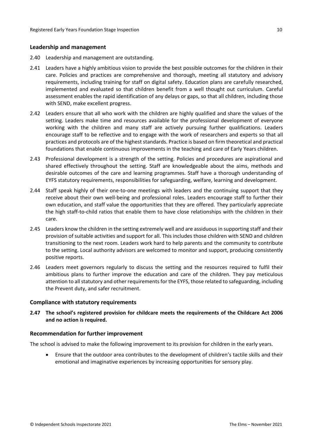#### <span id="page-9-0"></span>**Leadership and management**

- 2.40 Leadership and management are outstanding.
- 2.41 Leaders have a highly ambitious vision to provide the best possible outcomes for the children in their care. Policies and practices are comprehensive and thorough, meeting all statutory and advisory requirements, including training for staff on digital safety. Education plans are carefully researched, implemented and evaluated so that children benefit from a well thought out curriculum. Careful assessment enables the rapid identification of any delays or gaps, so that all children, including those with SEND, make excellent progress.
- 2.42 Leaders ensure that all who work with the children are highly qualified and share the values of the setting. Leaders make time and resources available for the professional development of everyone working with the children and many staff are actively pursuing further qualifications. Leaders encourage staff to be reflective and to engage with the work of researchers and experts so that all practices and protocols are of the highest standards. Practice is based on firm theoretical and practical foundations that enable continuous improvements in the teaching and care of Early Years children.
- 2.43 Professional development is a strength of the setting. Policies and procedures are aspirational and shared effectively throughout the setting. Staff are knowledgeable about the aims, methods and desirable outcomes of the care and learning programmes. Staff have a thorough understanding of EYFS statutory requirements, responsibilities for safeguarding, welfare, learning and development.
- 2.44 Staff speak highly of their one-to-one meetings with leaders and the continuing support that they receive about their own well-being and professional roles. Leaders encourage staff to further their own education, and staff value the opportunities that they are offered. They particularly appreciate the high staff-to-child ratios that enable them to have close relationships with the children in their care.
- 2.45 Leaders know the children in the setting extremely well and are assiduousin supporting staff and their provision of suitable activities and support for all. This includes those children with SEND and children transitioning to the next room. Leaders work hard to help parents and the community to contribute to the setting. Local authority advisors are welcomed to monitor and support, producing consistently positive reports.
- 2.46 Leaders meet governors regularly to discuss the setting and the resources required to fulfil their ambitious plans to further improve the education and care of the children. They pay meticulous attention to all statutory and other requirements for the EYFS, those related to safeguarding, including the Prevent duty, and safer recruitment.

#### <span id="page-9-1"></span>**Compliance with statutory requirements**

**2.47 The school's registered provision for childcare meets the requirements of the Childcare Act 2006 and no action is required.**

#### <span id="page-9-2"></span>**Recommendation for further improvement**

The school is advised to make the following improvement to its provision for children in the early years.

 Ensure that the outdoor area contributes to the development of children's tactile skills and their emotional and imaginative experiences by increasing opportunities for sensory play.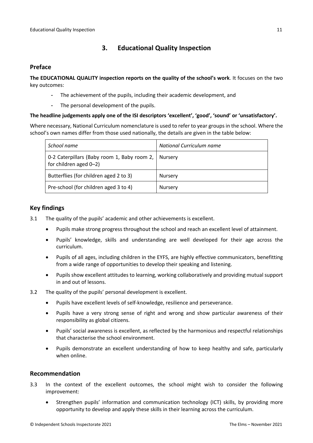# <span id="page-10-0"></span>**3. Educational Quality Inspection**

## <span id="page-10-1"></span>**Preface**

**The EDUCATIONAL QUALITY inspection reports on the quality of the school's work**. It focuses on the two key outcomes:

- The achievement of the pupils, including their academic development, and
- The personal development of the pupils.

### **The headline judgements apply one of the ISI descriptors 'excellent', 'good', 'sound' or 'unsatisfactory'.**

Where necessary, National Curriculum nomenclature is used to refer to year groups in the school. Where the school's own names differ from those used nationally, the details are given in the table below:

| School name                                                             | National Curriculum name |
|-------------------------------------------------------------------------|--------------------------|
| 0-2 Caterpillars (Baby room 1, Baby room 2,  <br>for children aged 0-2) | Nursery                  |
| Butterflies (for children aged 2 to 3)                                  | <b>Nursery</b>           |
| Pre-school (for children aged 3 to 4)                                   | <b>Nursery</b>           |

# <span id="page-10-2"></span>**Key findings**

- 3.1 The quality of the pupils' academic and other achievements is excellent.
	- Pupils make strong progress throughout the school and reach an excellent level of attainment.
	- Pupils' knowledge, skills and understanding are well developed for their age across the curriculum.
	- Pupils of all ages, including children in the EYFS, are highly effective communicators, benefitting from a wide range of opportunities to develop their speaking and listening.
	- Pupils show excellent attitudes to learning, working collaboratively and providing mutual support in and out of lessons.
- 3.2 The quality of the pupils' personal development is excellent.
	- Pupils have excellent levels of self-knowledge, resilience and perseverance.
	- Pupils have a very strong sense of right and wrong and show particular awareness of their responsibility as global citizens.
	- Pupils' social awareness is excellent, as reflected by the harmonious and respectful relationships that characterise the school environment.
	- Pupils demonstrate an excellent understanding of how to keep healthy and safe, particularly when online.

# <span id="page-10-3"></span>**Recommendation**

- 3.3 In the context of the excellent outcomes, the school might wish to consider the following improvement:
	- Strengthen pupils' information and communication technology (ICT) skills, by providing more opportunity to develop and apply these skills in their learning across the curriculum.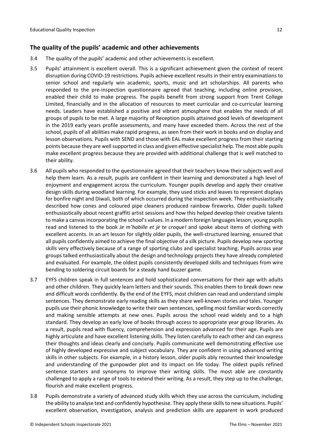### <span id="page-11-0"></span>**The quality of the pupils' academic and other achievements**

- 3.4 The quality of the pupils' academic and other achievements is excellent.
- 3.5 Pupils' attainment is excellent overall. This is a significant achievement given the context of recent disruption during COVID-19 restrictions. Pupils achieve excellent results in their entry examinations to senior school and regularly win academic, sports, music and art scholarships. All parents who responded to the pre-inspection questionnaire agreed that teaching, including online provision, enabled their child to make progress. The pupils benefit from strong support from Trent College Limited, financially and in the allocation of resources to meet curricular and co-curricular learning needs. Leaders have established a positive and vibrant atmosphere that enables the needs of all groups of pupils to be met. A large majority of Reception pupils attained good levels of development in the 2019 early years profile assessments, and many have exceeded them. Across the rest of the school, pupils of all abilities make rapid progress, as seen from their work in books and on display and lesson observations. Pupils with SEND and those with EAL make excellent progress from their starting points because they are well supported in class and given effective specialist help. The most able pupils make excellent progress because they are provided with additional challenge that is well matched to their ability.
- 3.6 All pupils who responded to the questionnaire agreed that their teachers know their subjects well and help them learn. As a result, pupils are confident in their learning and demonstrated a high level of enjoyment and engagement across the curriculum. Younger pupils develop and apply their creative design skills during woodland learning. For example, they used sticks and leaves to represent displays for bonfire night and Diwali, both of which occurred during the inspection week. They enthusiastically described how cones and coloured pipe cleaners produced rainbow fireworks. Older pupils talked enthusiastically about recent graffiti artist sessions and how this helped develop their creative talents to make a canvas incorporating the school's values. In a modern foreign languages lesson, young pupils read and listened to the book *Je m'habille et je te croque!* and spoke about items of clothing with excellent accents. In an art lesson for slightly older pupils, the well-structured learning, ensured that all pupils confidently aimed to achieve the final objective of a silk picture. Pupils develop new sporting skills very effectively because of a range of sporting clubs and specialist teaching. Pupils across year groups talked enthusiastically about the design and technology projects they have already completed and evaluated. For example, the oldest pupils consistently developed skills and techniques from wire bending to soldering circuit boards for a steady hand buzzer game.
- 3.7 EYFS children speak in full sentences and hold sophisticated conversations for their age with adults and other children. They quickly learn letters and their sounds. This enables them to break down new and difficult words confidently. By the end of the EYFS, most children can read and understand simple sentences. They demonstrate early reading skills as they share well-known stories and tales. Younger pupils use their phonic knowledge to write their own sentences, spelling most familiar words correctly and making sensible attempts at new ones. Pupils across the school read widely and to a high standard. They develop an early love of books through access to appropriate year group libraries. As a result, pupils read with fluency, comprehension and expression advanced for their age. Pupils are highly articulate and have excellent listening skills. They listen carefully to each other and can express their thoughts and ideas clearly and concisely. Pupils communicate well demonstrating effective use of highly developed expressive and subject vocabulary. They are confident in using advanced writing skills in other subjects. For example, in a history lesson, older pupils ably recounted their knowledge and understanding of the gunpowder plot and its impact on life today. The oldest pupils refined sentence starters and synonyms to improve their writing skills. The most able are constantly challenged to apply a range of tools to extend their writing. As a result, they step up to the challenge, flourish and make excellent progress.
- 3.8 Pupils demonstrate a variety of advanced study skills which they use across the curriculum, including the ability to analyse text and confidently hypothesise. They apply these skills to new situations. Pupils' excellent observation, investigation, analysis and prediction skills are apparent in work produced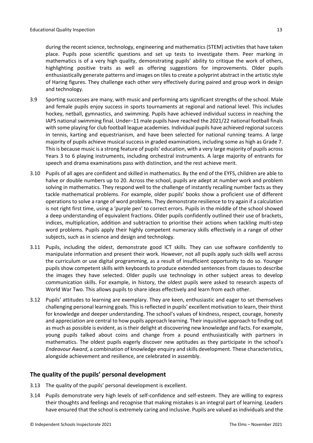during the recent science, technology, engineering and mathematics (STEM) activities that have taken place. Pupils pose scientific questions and set up tests to investigate them. Peer marking in mathematics is of a very high quality, demonstrating pupils' ability to critique the work of others, highlighting positive traits as well as offering suggestions for improvements. Older pupils enthusiastically generate patterns and images on tilesto create a polyprint abstract in the artistic style of Haring figures. They challenge each other very effectively during paired and group work in design and technology.

- 3.9 Sporting successes are many, with music and performing arts significant strengths of the school. Male and female pupils enjoy success in sports tournaments at regional and national level. This includes hockey, netball, gymnastics, and swimming. Pupils have achieved individual success in reaching the IAPS national swimming final. Under–11 male pupils have reached the 2021/22 national football finals with some playing for club football league academies. Individual pupils have achieved regional success in tennis, karting and equestrianism, and have been selected for national running teams. A large majority of pupils achieve musical success in graded examinations, including some as high as Grade 7. Thisis because music is a strong feature of pupils' education, with a very large majority of pupils across Years 3 to 6 playing instruments, including orchestral instruments. A large majority of entrants for speech and drama examinations pass with distinction, and the rest achieve merit.
- 3.10 Pupils of all ages are confident and skilled in mathematics. By the end of the EYFS, children are able to halve or double numbers up to 20. Across the school, pupils are adept at number work and problem solving in mathematics. They respond well to the challenge of instantly recalling number facts as they tackle mathematical problems. For example, older pupils' books show a proficient use of different operations to solve a range of word problems. They demonstrate resilience to try again if a calculation is not right first time, using a 'purple pen' to correct errors. Pupils in the middle of the school showed a deep understanding of equivalent fractions. Older pupils confidently outlined their use of brackets, indices, multiplication, addition and subtraction to prioritise their actions when tackling multi-step word problems. Pupils apply their highly competent numeracy skills effectively in a range of other subjects, such as in science and design and technology.
- 3.11 Pupils, including the oldest, demonstrate good ICT skills. They can use software confidently to manipulate information and present their work. However, not all pupils apply such skills well across the curriculum or use digital programming, as a result of insufficient opportunity to do so. Younger pupils show competent skills with keyboards to produce extended sentences from clauses to describe the images they have selected. Older pupils use technology in other subject areas to develop communication skills. For example, in history, the oldest pupils were asked to research aspects of World War Two. This allows pupils to share ideas effectively and learn from each other.
- 3.12 Pupils' attitudes to learning are exemplary. They are keen, enthusiastic and eager to set themselves challenging personal learning goals. Thisisreflected in pupils' excellent motivation to learn, their thirst for knowledge and deeper understanding. The school's values of kindness, respect, courage, honesty and appreciation are central to how pupils approach learning. Their inquisitive approach to finding out as much as possible is evident, as is their delight at discovering new knowledge and facts. For example, young pupils talked about coins and change from a pound enthusiastically with partners in mathematics. The oldest pupils eagerly discover new aptitudes as they participate in the school's *Endeavour Award*, a combination of knowledge enquiry and skills development. These characteristics, alongside achievement and resilience, are celebrated in assembly.

### <span id="page-12-0"></span>**The quality of the pupils' personal development**

- 3.13 The quality of the pupils' personal development is excellent.
- 3.14 Pupils demonstrate very high levels of self-confidence and self-esteem. They are willing to express their thoughts and feelings and recognise that making mistakes is an integral part of learning. Leaders have ensured that the school is extremely caring and inclusive. Pupils are valued asindividuals and the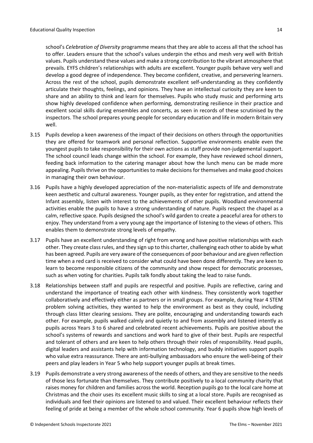school's *Celebration of Diversity* programme means that they are able to access all that the school has to offer. Leaders ensure that the school's values underpin the ethos and mesh very well with British values. Pupils understand these values and make a strong contribution to the vibrant atmosphere that prevails. EYFS children's relationships with adults are excellent. Younger pupils behave very well and develop a good degree of independence. They become confident, creative, and persevering learners. Across the rest of the school, pupils demonstrate excellent self-understanding as they confidently articulate their thoughts, feelings, and opinions. They have an intellectual curiosity they are keen to share and an ability to think and learn for themselves. Pupils who study music and performing arts show highly developed confidence when performing, demonstrating resilience in their practice and excellent social skills during ensembles and concerts, as seen in records of these scrutinised by the inspectors. The school prepares young people for secondary education and life in modern Britain very well.

- 3.15 Pupils develop a keen awareness of the impact of their decisions on others through the opportunities they are offered for teamwork and personal reflection. Supportive environments enable even the youngest pupils to take responsibility for their own actions as staff provide non-judgemental support. The school council leads change within the school. For example, they have reviewed school dinners, feeding back information to the catering manager about how the lunch menu can be made more appealing. Pupils thrive on the opportunities to make decisions for themselves and make good choices in managing their own behaviour.
- 3.16 Pupils have a highly developed appreciation of the non-materialistic aspects of life and demonstrate keen aesthetic and cultural awareness. Younger pupils, as they enter for registration, and attend the Infant assembly, listen with interest to the achievements of other pupils. Woodland environmental activities enable the pupils to have a strong understanding of nature. Pupils respect the chapel as a calm, reflective space. Pupils designed the school's wild garden to create a peaceful area for others to enjoy. They understand from a very young age the importance of listening to the views of others. This enables them to demonstrate strong levels of empathy.
- 3.17 Pupils have an excellent understanding of right from wrong and have positive relationships with each other. They create classrules, and they sign up to this charter, challenging each other to abide by what has been agreed. Pupils are very aware of the consequences of poor behaviour and are given reflection time when a red card is received to consider what could have been done differently. They are keen to learn to become responsible citizens of the community and show respect for democratic processes, such as when voting for charities. Pupils talk fondly about taking the lead to raise funds.
- 3.18 Relationships between staff and pupils are respectful and positive. Pupils are reflective, caring and understand the importance of treating each other with kindness. They consistently work together collaboratively and effectively either as partners or in small groups. For example, during Year 4 STEM problem solving activities, they wanted to help the environment as best as they could, including through class litter clearing sessions. They are polite, encouraging and understanding towards each other. For example, pupils walked calmly and quietly to and from assembly and listened intently as pupils across Years 3 to 6 shared and celebrated recent achievements. Pupils are positive about the school's systems of rewards and sanctions and work hard to give of their best. Pupils are respectful and tolerant of others and are keen to help others through their roles of responsibility. Head pupils, digital leaders and assistants help with information technology, and buddy initiatives support pupils who value extra reassurance. There are anti-bullying ambassadors who ensure the well-being of their peers and play leaders in Year 5 who help support younger pupils at break times.
- 3.19 Pupils demonstrate a very strong awareness of the needs of others, and they are sensitive to the needs of those less fortunate than themselves. They contribute positively to a local community charity that raises money for children and families across the world. Reception pupils go to the local care home at Christmas and the choir uses its excellent music skills to sing at a local store. Pupils are recognised as individuals and feel their opinions are listened to and valued. Their excellent behaviour reflects their feeling of pride at being a member of the whole school community. Year 6 pupils show high levels of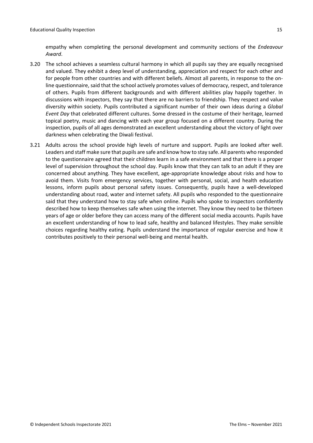empathy when completing the personal development and community sections of the *Endeavour Award*.

- 3.20 The school achieves a seamless cultural harmony in which all pupils say they are equally recognised and valued. They exhibit a deep level of understanding, appreciation and respect for each other and for people from other countries and with different beliefs. Almost all parents, in response to the online questionnaire, said that the school actively promotes values of democracy, respect, and tolerance of others. Pupils from different backgrounds and with different abilities play happily together. In discussions with inspectors, they say that there are no barriers to friendship. They respect and value diversity within society. Pupils contributed a significant number of their own ideas during a *Global Event Day* that celebrated different cultures. Some dressed in the costume of their heritage, learned topical poetry, music and dancing with each year group focused on a different country. During the inspection, pupils of all ages demonstrated an excellent understanding about the victory of light over darkness when celebrating the Diwali festival.
- 3.21 Adults across the school provide high levels of nurture and support. Pupils are looked after well. Leaders and staff make sure that pupils are safe and know how to stay safe. All parents who responded to the questionnaire agreed that their children learn in a safe environment and that there is a proper level of supervision throughout the school day. Pupils know that they can talk to an adult if they are concerned about anything. They have excellent, age-appropriate knowledge about risks and how to avoid them. Visits from emergency services, together with personal, social, and health education lessons, inform pupils about personal safety issues. Consequently, pupils have a well-developed understanding about road, water and internet safety. All pupils who responded to the questionnaire said that they understand how to stay safe when online. Pupils who spoke to inspectors confidently described how to keep themselves safe when using the internet. They know they need to be thirteen years of age or older before they can access many of the different social media accounts. Pupils have an excellent understanding of how to lead safe, healthy and balanced lifestyles. They make sensible choices regarding healthy eating. Pupils understand the importance of regular exercise and how it contributes positively to their personal well-being and mental health.